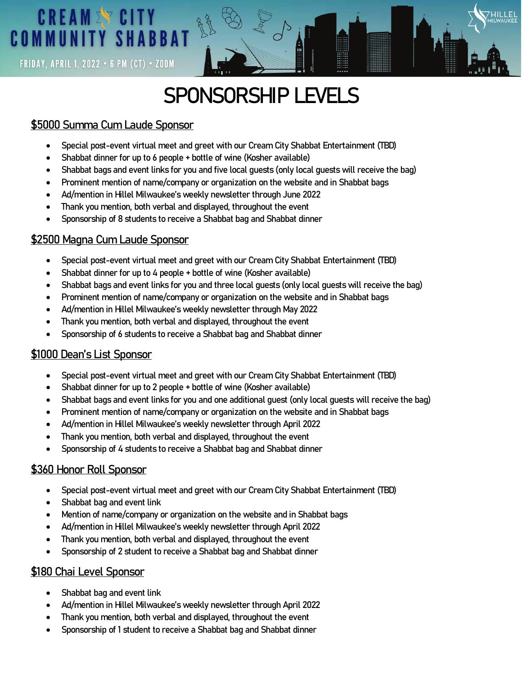# **CREAM EV CITY COMMUNITY SHABBAT**

**FRIDAY, APRIL 1, 2022 · 6 PM (CT) · ZOOM** 

# **SPONSORSHIP LEVELS**

### \$5000 Summa Cum Laude Sponsor

- Special post-event virtual meet and greet with our Cream City Shabbat Entertainment (TBD)
- Shabbat dinner for up to 6 people + bottle of wine (Kosher available)
- Shabbat bags and event links for you and five local guests (only local guests will receive the bag)
- Prominent mention of name/company or organization on the website and in Shabbat bags
- Ad/mention in Hillel Milwaukee's weekly newsletter through June 2022
- Thank you mention, both verbal and displayed, throughout the event
- Sponsorship of 8 students to receive a Shabbat bag and Shabbat dinner

### \$2500 Magna Cum Laude Sponsor

- Special post-event virtual meet and greet with our Cream City Shabbat Entertainment (TBD)
- Shabbat dinner for up to 4 people + bottle of wine (Kosher available)
- Shabbat bags and event links for you and three local guests (only local guests will receive the bag)
- Prominent mention of name/company or organization on the website and in Shabbat bags
- Ad/mention in Hillel Milwaukee's weekly newsletter through May 2022
- Thank you mention, both verbal and displayed, throughout the event
- Sponsorship of 6 students to receive a Shabbat bag and Shabbat dinner

### \$1000 Dean's List Sponsor

- Special post-event virtual meet and greet with our Cream City Shabbat Entertainment (TBD)
- Shabbat dinner for up to 2 people + bottle of wine (Kosher available)
- Shabbat bags and event links for you and one additional guest (only local guests will receive the bag)
- Prominent mention of name/company or organization on the website and in Shabbat bags
- Ad/mention in Hillel Milwaukee's weekly newsletter through April 2022
- Thank you mention, both verbal and displayed, throughout the event
- Sponsorship of 4 students to receive a Shabbat bag and Shabbat dinner

### \$360 Honor Roll Sponsor

- Special post-event virtual meet and greet with our Cream City Shabbat Entertainment (TBD)
- Shabbat bag and event link
- Mention of name/company or organization on the website and in Shabbat bags
- Ad/mention in Hillel Milwaukee's weekly newsletter through April 2022
- Thank you mention, both verbal and displayed, throughout the event
- Sponsorship of 2 student to receive a Shabbat bag and Shabbat dinner

#### \$180 Chai Level Sponsor

- Shabbat bag and event link
- Ad/mention in Hillel Milwaukee's weekly newsletter through April 2022
- Thank you mention, both verbal and displayed, throughout the event
- Sponsorship of 1 student to receive a Shabbat bag and Shabbat dinner